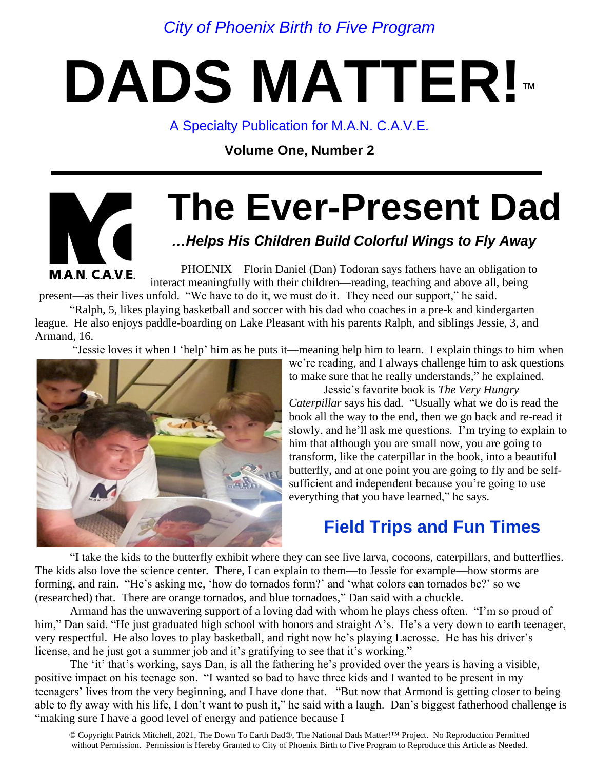*City of Phoenix Birth to Five Program* 

## **DADS MATTER!**™

A Specialty Publication for M.A.N. C.A.V.E.

**Volume One, Number 2**

# **M.A.N. CAVE**

### **The Ever-Present Dad**

#### *…Helps His Children Build Colorful Wings to Fly Away*

PHOENIX—Florin Daniel (Dan) Todoran says fathers have an obligation to interact meaningfully with their children—reading, teaching and above all, being

present—as their lives unfold. "We have to do it, we must do it. They need our support," he said.

"Ralph, 5, likes playing basketball and soccer with his dad who coaches in a pre-k and kindergarten league. He also enjoys paddle-boarding on Lake Pleasant with his parents Ralph, and siblings Jessie, 3, and Armand, 16.

"Jessie loves it when I 'help' him as he puts it—meaning help him to learn. I explain things to him when



we're reading, and I always challenge him to ask questions to make sure that he really understands," he explained.

Jessie's favorite book is *The Very Hungry Caterpillar* says his dad. "Usually what we do is read the book all the way to the end, then we go back and re-read it slowly, and he'll ask me questions. I'm trying to explain to him that although you are small now, you are going to transform, like the caterpillar in the book, into a beautiful butterfly, and at one point you are going to fly and be selfsufficient and independent because you're going to use everything that you have learned," he says.

#### **Field Trips and Fun Times**

"I take the kids to the butterfly exhibit where they can see live larva, cocoons, caterpillars, and butterflies. The kids also love the science center. There, I can explain to them—to Jessie for example—how storms are forming, and rain. "He's asking me, 'how do tornados form?' and 'what colors can tornados be?' so we (researched) that. There are orange tornados, and blue tornadoes," Dan said with a chuckle.

Armand has the unwavering support of a loving dad with whom he plays chess often. "I'm so proud of him," Dan said. "He just graduated high school with honors and straight A's. He's a very down to earth teenager, very respectful. He also loves to play basketball, and right now he's playing Lacrosse. He has his driver's license, and he just got a summer job and it's gratifying to see that it's working."

The 'it' that's working, says Dan, is all the fathering he's provided over the years is having a visible, positive impact on his teenage son. "I wanted so bad to have three kids and I wanted to be present in my teenagers' lives from the very beginning, and I have done that. "But now that Armond is getting closer to being able to fly away with his life, I don't want to push it," he said with a laugh. Dan's biggest fatherhood challenge is "making sure I have a good level of energy and patience because I